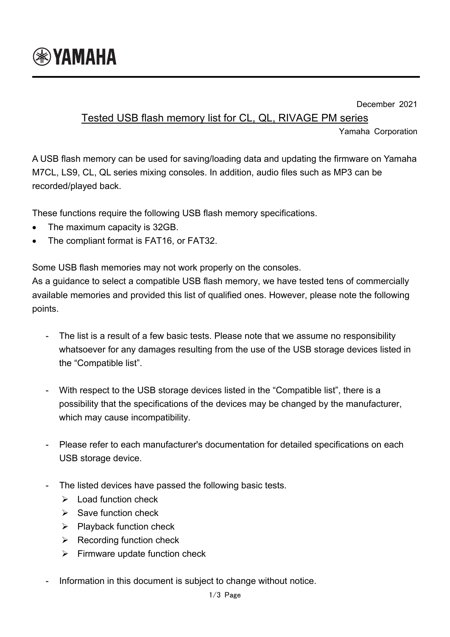

December 2021

## Tested USB flash memory list for CL, QL, RIVAGE PM series

Yamaha Corporation

A USB flash memory can be used for saving/loading data and updating the firmware on Yamaha M7CL, LS9, CL, QL series mixing consoles. In addition, audio files such as MP3 can be recorded/played back.

These functions require the following USB flash memory specifications.

- The maximum capacity is 32GB.
- The compliant format is FAT16, or FAT32.

Some USB flash memories may not work properly on the consoles.

As a guidance to select a compatible USB flash memory, we have tested tens of commercially available memories and provided this list of qualified ones. However, please note the following points.

- The list is a result of a few basic tests. Please note that we assume no responsibility whatsoever for any damages resulting from the use of the USB storage devices listed in the "Compatible list".
- With respect to the USB storage devices listed in the "Compatible list", there is a possibility that the specifications of the devices may be changed by the manufacturer, which may cause incompatibility.
- Please refer to each manufacturer's documentation for detailed specifications on each USB storage device.
- The listed devices have passed the following basic tests.
	- $\triangleright$  Load function check
	- $\triangleright$  Save function check
	- $\triangleright$  Playback function check
	- $\triangleright$  Recording function check
	- $\triangleright$  Firmware update function check
- Information in this document is subject to change without notice.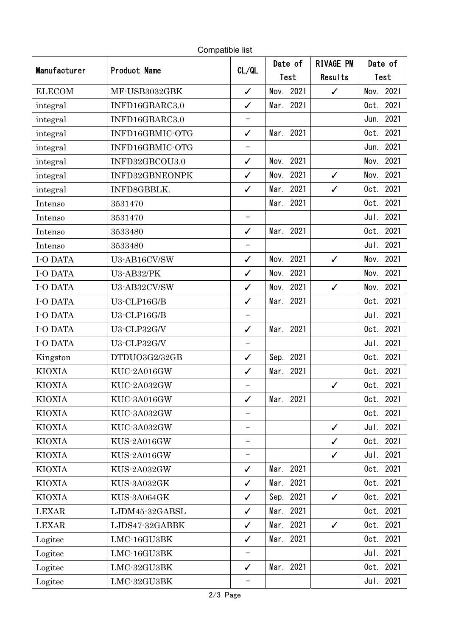| Manufacturer  | <b>Product Name</b> |                          | Date of      | <b>RIVAGE PM</b> | Date of         |
|---------------|---------------------|--------------------------|--------------|------------------|-----------------|
|               |                     | CL/QL                    | Test         | Results          | Test            |
| <b>ELECOM</b> | MF-USB3032GBK       | $\checkmark$             | Nov. 2021    | $\checkmark$     | 2021<br>Nov.    |
| integral      | INFD16GBARC3.0      | $\checkmark$             | Mar. 2021    |                  | 2021<br>Oct.    |
| integral      | INFD16GBARC3.0      | $\overline{\phantom{0}}$ |              |                  | 2021<br>Jun.    |
| integral      | INFD16GBMIC-OTG     | $\checkmark$             | Mar. 2021    |                  | 2021<br>Oct.    |
| integral      | INFD16GBMIC-OTG     | —                        |              |                  | 2021<br>Jun.    |
| integral      | INFD32GBCOU3.0      | $\checkmark$             | Nov. 2021    |                  | 2021<br>Nov.    |
| integral      | INFD32GBNEONPK      | $\checkmark$             | Nov. 2021    | $\checkmark$     | 2021<br>Nov.    |
| integral      | INFD8GBBLK.         | $\checkmark$             | 2021<br>Mar. | $\checkmark$     | 2021<br>Oct.    |
| Intenso       | 3531470             |                          | Mar. 2021    |                  | 2021<br>Oct.    |
| Intenso       | 3531470             | $\qquad \qquad -$        |              |                  | 2021<br>Jul.    |
| Intenso       | 3533480             | $\checkmark$             | Mar. 2021    |                  | 2021<br>$0$ ct. |
| Intenso       | 3533480             | $\qquad \qquad -$        |              |                  | 2021<br>Jul.    |
| I-O DATA      | U3-AB16CV/SW        | $\checkmark$             | 2021<br>Nov. | $\checkmark$     | 2021<br>Nov.    |
| I-O DATA      | U3-AB32/PK          | $\checkmark$             | 2021<br>Nov. |                  | 2021<br>Nov.    |
| I-O DATA      | U3-AB32CV/SW        | $\checkmark$             | Nov. 2021    | $\checkmark$     | 2021<br>Nov.    |
| I-O DATA      | $U3$ -CLP16G/B      | $\checkmark$             | 2021<br>Mar. |                  | 2021<br>Oct.    |
| I-O DATA      | U3-CLP16G/B         | $\overline{\phantom{0}}$ |              |                  | 2021<br>Jul.    |
| I-O DATA      | U3-CLP32G/V         | $\checkmark$             | Mar. 2021    |                  | 2021<br>$0$ ct. |
| I-O DATA      | U3-CLP32G/V         | $\qquad \qquad -$        |              |                  | 2021<br>Jul.    |
| Kingston      | DTDUO3G2/32GB       | $\checkmark$             | Sep. 2021    |                  | 2021<br>Oct.    |
| KIOXIA        | KUC-2A016GW         | $\checkmark$             | 2021<br>Mar. |                  | 2021<br>Oct.    |
| KIOXIA        | KUC-2A032GW         |                          |              | $\checkmark$     | Oct. 2021       |
| KIOXIA        | KUC-3A016GW         | $\checkmark$             | Mar. 2021    |                  | 2021<br>$0$ ct. |
| KIOXIA        | KUC-3A032GW         |                          |              |                  | Oct. 2021       |
| <b>KIOXIA</b> | KUC-3A032GW         | -                        |              | $\checkmark$     | Jul. 2021       |
| <b>KIOXIA</b> | KUS-2A016GW         | -                        |              | $\checkmark$     | Oct.<br>2021    |
| KIOXIA        | KUS-2A016GW         | —                        |              | $\checkmark$     | 2021<br>Jul.    |
| <b>KIOXIA</b> | KUS-2A032GW         | $\checkmark$             | Mar. 2021    |                  | 2021<br>Oct.    |
| KIOXIA        | KUS-3A032GK         | $\checkmark$             | Mar. 2021    |                  | 2021<br>Oct.    |
| <b>KIOXIA</b> | KUS-3A064GK         | $\checkmark$             | Sep. 2021    | $\checkmark$     | 2021<br>Oct.    |
| <b>LEXAR</b>  | LJDM45-32GABSL      | $\checkmark$             | Mar. 2021    |                  | 2021<br>Oct.    |
| <b>LEXAR</b>  | LJDS47-32GABBK      | $\checkmark$             | Mar. 2021    | $\checkmark$     | 2021<br>Oct.    |
| Logitec       | LMC-16GU3BK         | $\checkmark$             | Mar. 2021    |                  | Oct. 2021       |
| Logitec       | LMC-16GU3BK         |                          |              |                  | Jul. 2021       |
| Logitec       | LMC-32GU3BK         | $\checkmark$             | Mar. 2021    |                  | Oct. 2021       |
| Logitec       | LMC-32GU3BK         |                          |              |                  | Jul. 2021       |

Compatible list